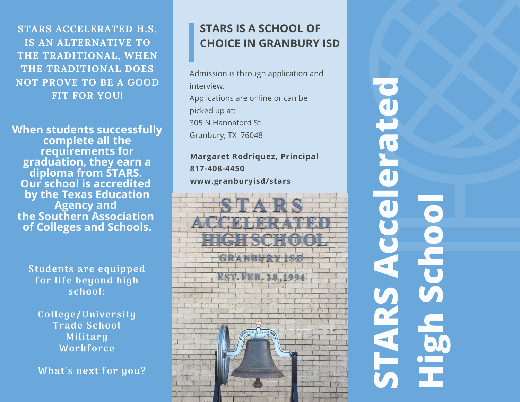**STARS ACCELERATED H.S. IS AN ALTERNATIVE TO THE TRADITIONAL, WHEN THE TRADITIONAL DOES NOT PROVE TO BE A GOOD FIT FOR YOU!**

**When students successfully complete all the requirements for graduation, they earn a diploma from STARS. Our school is accredited by the Texas Education Agency and the Southern Association of Colleges and Schools.**

> Students are equipped for life beyond high school:

College/University Trade School Military Workforce

What's next for you?

## **STARS IS A SCHOOL OF CHOICE IN GRANBURY ISD**

Admission is through application and interview. Applications are online or can be picked up at: 305 N Hannaford St Granbury, TX 76048

**Margaret Rodriquez, Principal 817-408-4450 www.granburyisd/stars**



**S TA RS A ccelerated HighS chool**